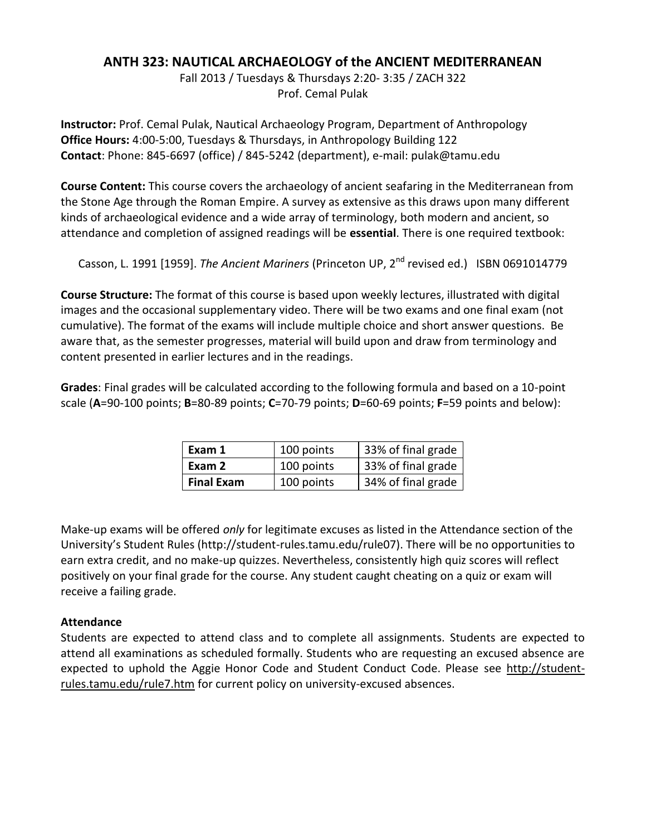# **ANTH 323: NAUTICAL ARCHAEOLOGY of the ANCIENT MEDITERRANEAN**

Fall 2013 / Tuesdays & Thursdays 2:20- 3:35 / ZACH 322 Prof. Cemal Pulak

**Instructor:** Prof. Cemal Pulak, Nautical Archaeology Program, Department of Anthropology **Office Hours:** 4:00-5:00, Tuesdays & Thursdays, in Anthropology Building 122 **Contact**: Phone: 845-6697 (office) / 845-5242 (department), e-mail: pulak@tamu.edu

**Course Content:** This course covers the archaeology of ancient seafaring in the Mediterranean from the Stone Age through the Roman Empire. A survey as extensive as this draws upon many different kinds of archaeological evidence and a wide array of terminology, both modern and ancient, so attendance and completion of assigned readings will be **essential**. There is one required textbook:

Casson, L. 1991 [1959]. *The Ancient Mariners* (Princeton UP, 2<sup>nd</sup> revised ed.) ISBN 0691014779

**Course Structure:** The format of this course is based upon weekly lectures, illustrated with digital images and the occasional supplementary video. There will be two exams and one final exam (not cumulative). The format of the exams will include multiple choice and short answer questions. Be aware that, as the semester progresses, material will build upon and draw from terminology and content presented in earlier lectures and in the readings.

**Grades**: Final grades will be calculated according to the following formula and based on a 10-point scale (**A**=90-100 points; **B**=80-89 points; **C**=70-79 points; **D**=60-69 points; **F**=59 points and below):

| Exam 1            | 100 points | 33% of final grade |
|-------------------|------------|--------------------|
| Exam 2            | 100 points | 33% of final grade |
| <b>Final Exam</b> | 100 points | 34% of final grade |

Make-up exams will be offered *only* for legitimate excuses as listed in the Attendance section of the University's Student Rules (http://student-rules.tamu.edu/rule07). There will be no opportunities to earn extra credit, and no make-up quizzes. Nevertheless, consistently high quiz scores will reflect positively on your final grade for the course. Any student caught cheating on a quiz or exam will receive a failing grade.

# **Attendance**

Students are expected to attend class and to complete all assignments. Students are expected to attend all examinations as scheduled formally. Students who are requesting an excused absence are expected to uphold the Aggie Honor Code and Student Conduct Code. Please see [http://student](http://student-rules.tamu.edu/rule7.htm)[rules.tamu.edu/rule7.htm](http://student-rules.tamu.edu/rule7.htm) for current policy on university-excused absences.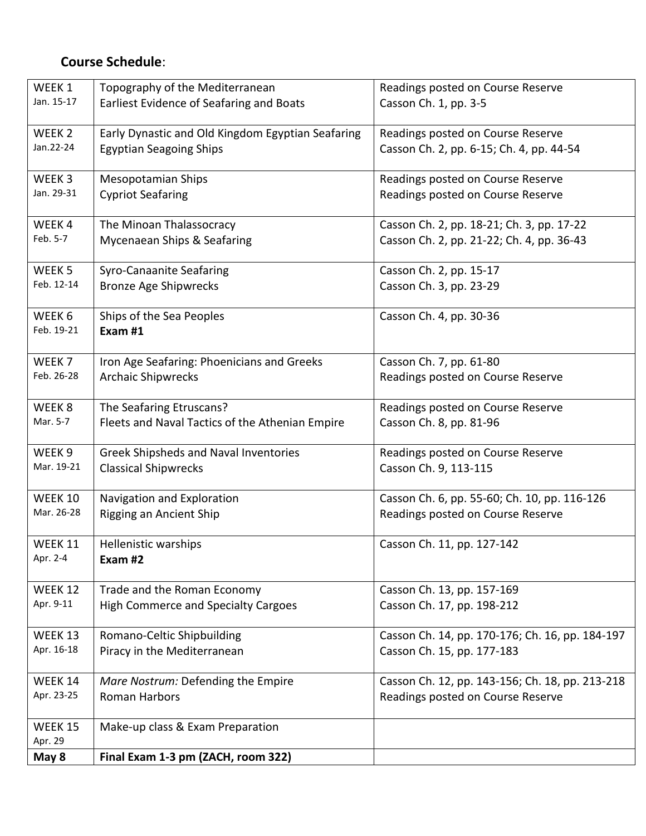# **Course Schedule**:

| WEEK 1            | Topography of the Mediterranean                   | Readings posted on Course Reserve               |
|-------------------|---------------------------------------------------|-------------------------------------------------|
| Jan. 15-17        | Earliest Evidence of Seafaring and Boats          | Casson Ch. 1, pp. 3-5                           |
|                   |                                                   |                                                 |
| WEEK <sub>2</sub> | Early Dynastic and Old Kingdom Egyptian Seafaring | Readings posted on Course Reserve               |
| Jan.22-24         | <b>Egyptian Seagoing Ships</b>                    | Casson Ch. 2, pp. 6-15; Ch. 4, pp. 44-54        |
|                   |                                                   |                                                 |
| WEEK 3            | <b>Mesopotamian Ships</b>                         | Readings posted on Course Reserve               |
| Jan. 29-31        | <b>Cypriot Seafaring</b>                          | Readings posted on Course Reserve               |
|                   |                                                   |                                                 |
| WEEK4             | The Minoan Thalassocracy                          | Casson Ch. 2, pp. 18-21; Ch. 3, pp. 17-22       |
| Feb. 5-7          | Mycenaean Ships & Seafaring                       | Casson Ch. 2, pp. 21-22; Ch. 4, pp. 36-43       |
|                   |                                                   |                                                 |
| WEEK <sub>5</sub> | Syro-Canaanite Seafaring                          | Casson Ch. 2, pp. 15-17                         |
| Feb. 12-14        | <b>Bronze Age Shipwrecks</b>                      | Casson Ch. 3, pp. 23-29                         |
|                   |                                                   |                                                 |
| WEEK 6            | Ships of the Sea Peoples                          | Casson Ch. 4, pp. 30-36                         |
| Feb. 19-21        | Exam #1                                           |                                                 |
|                   |                                                   |                                                 |
| WEEK 7            | Iron Age Seafaring: Phoenicians and Greeks        | Casson Ch. 7, pp. 61-80                         |
| Feb. 26-28        | <b>Archaic Shipwrecks</b>                         | Readings posted on Course Reserve               |
|                   |                                                   |                                                 |
| WEEK <sub>8</sub> | The Seafaring Etruscans?                          | Readings posted on Course Reserve               |
| Mar. 5-7          | Fleets and Naval Tactics of the Athenian Empire   | Casson Ch. 8, pp. 81-96                         |
|                   |                                                   |                                                 |
| WEEK <sub>9</sub> | Greek Shipsheds and Naval Inventories             | Readings posted on Course Reserve               |
| Mar. 19-21        | <b>Classical Shipwrecks</b>                       | Casson Ch. 9, 113-115                           |
|                   |                                                   |                                                 |
| WEEK 10           | Navigation and Exploration                        | Casson Ch. 6, pp. 55-60; Ch. 10, pp. 116-126    |
| Mar. 26-28        | Rigging an Ancient Ship                           | Readings posted on Course Reserve               |
|                   |                                                   |                                                 |
| WEEK 11           | Hellenistic warships                              | Casson Ch. 11, pp. 127-142                      |
| Apr. 2-4          | Exam #2                                           |                                                 |
|                   |                                                   |                                                 |
| <b>WEEK 12</b>    | Trade and the Roman Economy                       | Casson Ch. 13, pp. 157-169                      |
| Apr. 9-11         | <b>High Commerce and Specialty Cargoes</b>        | Casson Ch. 17, pp. 198-212                      |
|                   |                                                   |                                                 |
| WEEK 13           | Romano-Celtic Shipbuilding                        | Casson Ch. 14, pp. 170-176; Ch. 16, pp. 184-197 |
| Apr. 16-18        | Piracy in the Mediterranean                       | Casson Ch. 15, pp. 177-183                      |
|                   |                                                   |                                                 |
| WEEK 14           | Mare Nostrum: Defending the Empire                | Casson Ch. 12, pp. 143-156; Ch. 18, pp. 213-218 |
| Apr. 23-25        | Roman Harbors                                     | Readings posted on Course Reserve               |
|                   |                                                   |                                                 |
| <b>WEEK 15</b>    | Make-up class & Exam Preparation                  |                                                 |
| Apr. 29           |                                                   |                                                 |
| May 8             | Final Exam 1-3 pm (ZACH, room 322)                |                                                 |